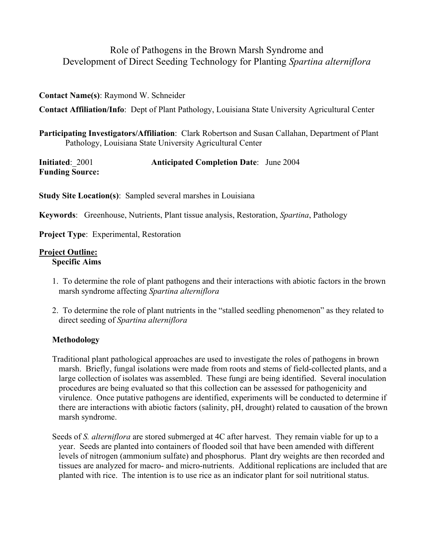# Role of Pathogens in the Brown Marsh Syndrome and Development of Direct Seeding Technology for Planting *Spartina alterniflora*

### **Contact Name(s)**: Raymond W. Schneider

**Contact Affiliation/Info**: Dept of Plant Pathology, Louisiana State University Agricultural Center

**Participating Investigators/Affiliation**: Clark Robertson and Susan Callahan, Department of Plant Pathology, Louisiana State University Agricultural Center

| Initiated: 2001        | <b>Anticipated Completion Date:</b> June 2004 |  |
|------------------------|-----------------------------------------------|--|
| <b>Funding Source:</b> |                                               |  |

**Study Site Location(s)**: Sampled several marshes in Louisiana

**Keywords**: Greenhouse, Nutrients, Plant tissue analysis, Restoration, *Spartina*, Pathology

**Project Type**: Experimental, Restoration

# **Project Outline:**

**Specific Aims** 

- 1. To determine the role of plant pathogens and their interactions with abiotic factors in the brown marsh syndrome affecting *Spartina alterniflora*
- 2. To determine the role of plant nutrients in the "stalled seedling phenomenon" as they related to direct seeding of *Spartina alterniflora*

# **Methodology**

- Traditional plant pathological approaches are used to investigate the roles of pathogens in brown marsh. Briefly, fungal isolations were made from roots and stems of field-collected plants, and a large collection of isolates was assembled. These fungi are being identified. Several inoculation procedures are being evaluated so that this collection can be assessed for pathogenicity and virulence. Once putative pathogens are identified, experiments will be conducted to determine if there are interactions with abiotic factors (salinity, pH, drought) related to causation of the brown marsh syndrome.
- Seeds of *S. alterniflora* are stored submerged at 4C after harvest. They remain viable for up to a year. Seeds are planted into containers of flooded soil that have been amended with different levels of nitrogen (ammonium sulfate) and phosphorus. Plant dry weights are then recorded and tissues are analyzed for macro- and micro-nutrients. Additional replications are included that are planted with rice. The intention is to use rice as an indicator plant for soil nutritional status.